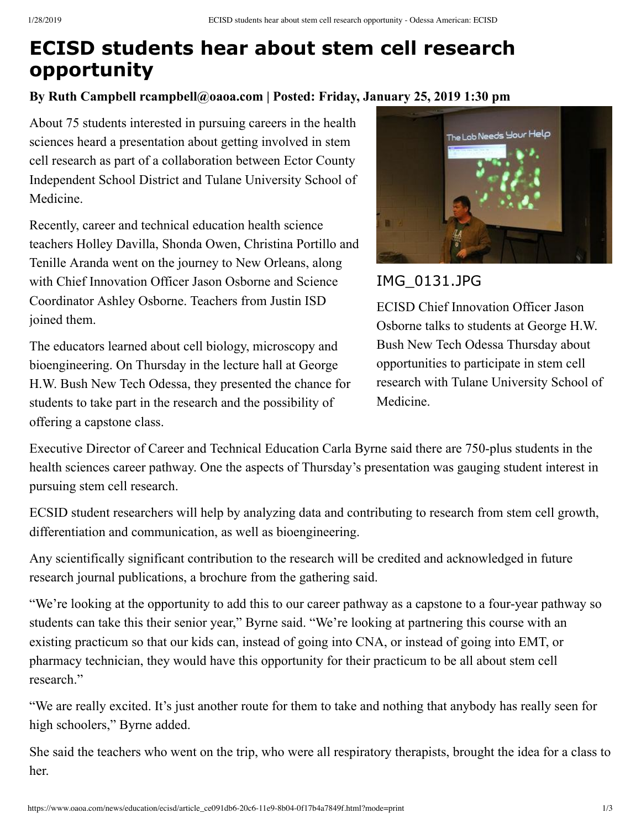# **ECISD students hear about stem cell research opportunity**

### **By Ruth Campbell rcampbell@oaoa.com | Posted: Friday, January 25, 2019 1:30 pm**

About 75 students interested in pursuing careers in the health sciences heard a presentation about getting involved in stem cell research as part of a collaboration between Ector County Independent School District and Tulane University School of Medicine.

Recently, career and technical education health science teachers Holley Davilla, Shonda Owen, Christina Portillo and Tenille Aranda went on the journey to New Orleans, along with Chief Innovation Officer Jason Osborne and Science Coordinator Ashley Osborne. Teachers from Justin ISD joined them.

The educators learned about cell biology, microscopy and bioengineering. On Thursday in the lecture hall at George H.W. Bush New Tech Odessa, they presented the chance for students to take part in the research and the possibility of offering a capstone class.



## IMG\_0131.JPG

ECISD Chief Innovation Officer Jason Osborne talks to students at George H.W. Bush New Tech Odessa Thursday about opportunities to participate in stem cell research with Tulane University School of Medicine.

Executive Director of Career and Technical Education Carla Byrne said there are 750-plus students in the health sciences career pathway. One the aspects of Thursday's presentation was gauging student interest in pursuing stem cell research.

ECSID student researchers will help by analyzing data and contributing to research from stem cell growth, differentiation and communication, as well as bioengineering.

Any scientifically significant contribution to the research will be credited and acknowledged in future research journal publications, a brochure from the gathering said.

"We're looking at the opportunity to add this to our career pathway as a capstone to a four-year pathway so students can take this their senior year," Byrne said. "We're looking at partnering this course with an existing practicum so that our kids can, instead of going into CNA, or instead of going into EMT, or pharmacy technician, they would have this opportunity for their practicum to be all about stem cell research."

"We are really excited. It's just another route for them to take and nothing that anybody has really seen for high schoolers," Byrne added.

She said the teachers who went on the trip, who were all respiratory therapists, brought the idea for a class to her.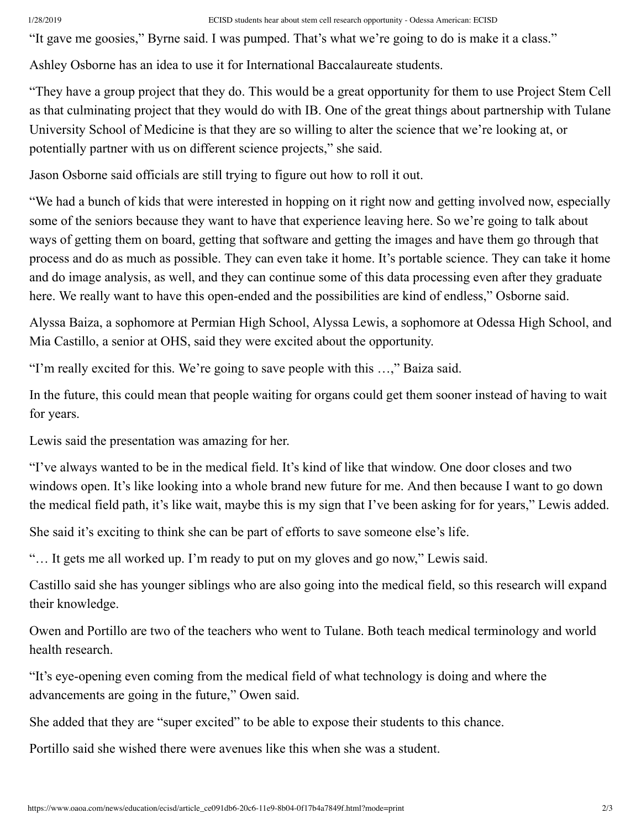### 1/28/2019 ECISD students hear about stem cell research opportunity - Odessa American: ECISD

"It gave me goosies," Byrne said. I was pumped. That's what we're going to do is make it a class."

Ashley Osborne has an idea to use it for International Baccalaureate students.

"They have a group project that they do. This would be a great opportunity for them to use Project Stem Cell as that culminating project that they would do with IB. One of the great things about partnership with Tulane University School of Medicine is that they are so willing to alter the science that we're looking at, or potentially partner with us on different science projects," she said.

Jason Osborne said officials are still trying to figure out how to roll it out.

"We had a bunch of kids that were interested in hopping on it right now and getting involved now, especially some of the seniors because they want to have that experience leaving here. So we're going to talk about ways of getting them on board, getting that software and getting the images and have them go through that process and do as much as possible. They can even take it home. It's portable science. They can take it home and do image analysis, as well, and they can continue some of this data processing even after they graduate here. We really want to have this open-ended and the possibilities are kind of endless," Osborne said.

Alyssa Baiza, a sophomore at Permian High School, Alyssa Lewis, a sophomore at Odessa High School, and Mia Castillo, a senior at OHS, said they were excited about the opportunity.

"I'm really excited for this. We're going to save people with this …," Baiza said.

In the future, this could mean that people waiting for organs could get them sooner instead of having to wait for years.

Lewis said the presentation was amazing for her.

"I've always wanted to be in the medical field. It's kind of like that window. One door closes and two windows open. It's like looking into a whole brand new future for me. And then because I want to go down the medical field path, it's like wait, maybe this is my sign that I've been asking for for years," Lewis added.

She said it's exciting to think she can be part of efforts to save someone else's life.

"… It gets me all worked up. I'm ready to put on my gloves and go now," Lewis said.

Castillo said she has younger siblings who are also going into the medical field, so this research will expand their knowledge.

Owen and Portillo are two of the teachers who went to Tulane. Both teach medical terminology and world health research.

"It's eye-opening even coming from the medical field of what technology is doing and where the advancements are going in the future," Owen said.

She added that they are "super excited" to be able to expose their students to this chance.

Portillo said she wished there were avenues like this when she was a student.